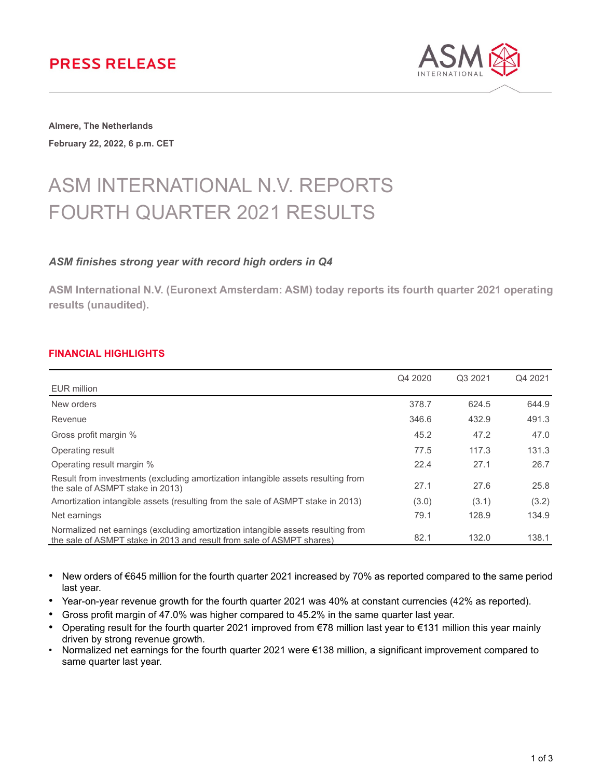## **PRESS RELEASE**



**Almere, The Netherlands February 22, 2022, 6 p.m. CET**

# ASM INTERNATIONAL N.V. REPORTS FOURTH QUARTER 2021 RESULTS

## *ASM finishes strong year with record high orders in Q4*

**ASM International N.V. (Euronext Amsterdam: ASM) today reports its fourth quarter 2021 operating results (unaudited).**

## **FINANCIAL HIGHLIGHTS**

|                                                                                                                                                           | Q4 2020 | Q3 2021 | Q4 2021 |
|-----------------------------------------------------------------------------------------------------------------------------------------------------------|---------|---------|---------|
| EUR million                                                                                                                                               |         |         |         |
| New orders                                                                                                                                                | 378.7   | 624.5   | 644.9   |
| Revenue                                                                                                                                                   | 346.6   | 432.9   | 491.3   |
| Gross profit margin %                                                                                                                                     | 45.2    | 47.2    | 47.0    |
| Operating result                                                                                                                                          | 77.5    | 117.3   | 131.3   |
| Operating result margin %                                                                                                                                 | 22.4    | 27.1    | 26.7    |
| Result from investments (excluding amortization intangible assets resulting from<br>the sale of ASMPT stake in 2013)                                      | 27.1    | 27.6    | 25.8    |
| Amortization intangible assets (resulting from the sale of ASMPT stake in 2013)                                                                           | (3.0)   | (3.1)   | (3.2)   |
| Net earnings                                                                                                                                              | 79.1    | 128.9   | 134.9   |
| Normalized net earnings (excluding amortization intangible assets resulting from<br>the sale of ASMPT stake in 2013 and result from sale of ASMPT shares) | 82.1    | 132.0   | 138.1   |

• New orders of €645 million for the fourth quarter 2021 increased by 70% as reported compared to the same period last year.

- Year-on-year revenue growth for the fourth quarter 2021 was 40% at constant currencies (42% as reported).
- Gross profit margin of 47.0% was higher compared to 45.2% in the same quarter last year.
- Operating result for the fourth quarter 2021 improved from €78 million last year to €131 million this year mainly driven by strong revenue growth.
- Normalized net earnings for the fourth quarter 2021 were €138 million, a significant improvement compared to same quarter last year.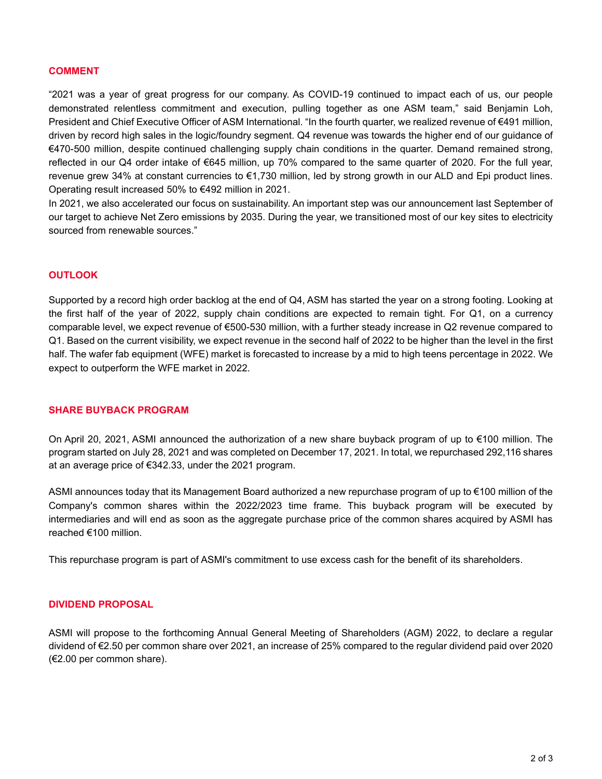#### **COMMENT**

"2021 was a year of great progress for our company. As COVID-19 continued to impact each of us, our people demonstrated relentless commitment and execution, pulling together as one ASM team," said Benjamin Loh, President and Chief Executive Officer of ASM International. "In the fourth quarter, we realized revenue of €491 million, driven by record high sales in the logic/foundry segment. Q4 revenue was towards the higher end of our guidance of €470-500 million, despite continued challenging supply chain conditions in the quarter. Demand remained strong, reflected in our Q4 order intake of €645 million, up 70% compared to the same quarter of 2020. For the full year, revenue grew 34% at constant currencies to €1,730 million, led by strong growth in our ALD and Epi product lines. Operating result increased 50% to €492 million in 2021.

In 2021, we also accelerated our focus on sustainability. An important step was our announcement last September of our target to achieve Net Zero emissions by 2035. During the year, we transitioned most of our key sites to electricity sourced from renewable sources."

#### **OUTLOOK**

Supported by a record high order backlog at the end of Q4, ASM has started the year on a strong footing. Looking at the first half of the year of 2022, supply chain conditions are expected to remain tight. For Q1, on a currency comparable level, we expect revenue of €500-530 million, with a further steady increase in Q2 revenue compared to Q1. Based on the current visibility, we expect revenue in the second half of 2022 to be higher than the level in the first half. The wafer fab equipment (WFE) market is forecasted to increase by a mid to high teens percentage in 2022. We expect to outperform the WFE market in 2022.

#### **SHARE BUYBACK PROGRAM**

On April 20, 2021, ASMI announced the authorization of a new share buyback program of up to €100 million. The program started on July 28, 2021 and was completed on December 17, 2021. In total, we repurchased 292,116 shares at an average price of €342.33, under the 2021 program.

ASMI announces today that its Management Board authorized a new repurchase program of up to €100 million of the Company's common shares within the 2022/2023 time frame. This buyback program will be executed by intermediaries and will end as soon as the aggregate purchase price of the common shares acquired by ASMI has reached €100 million.

This repurchase program is part of ASMI's commitment to use excess cash for the benefit of its shareholders.

#### **DIVIDEND PROPOSAL**

ASMI will propose to the forthcoming Annual General Meeting of Shareholders (AGM) 2022, to declare a regular dividend of €2.50 per common share over 2021, an increase of 25% compared to the regular dividend paid over 2020 (€2.00 per common share).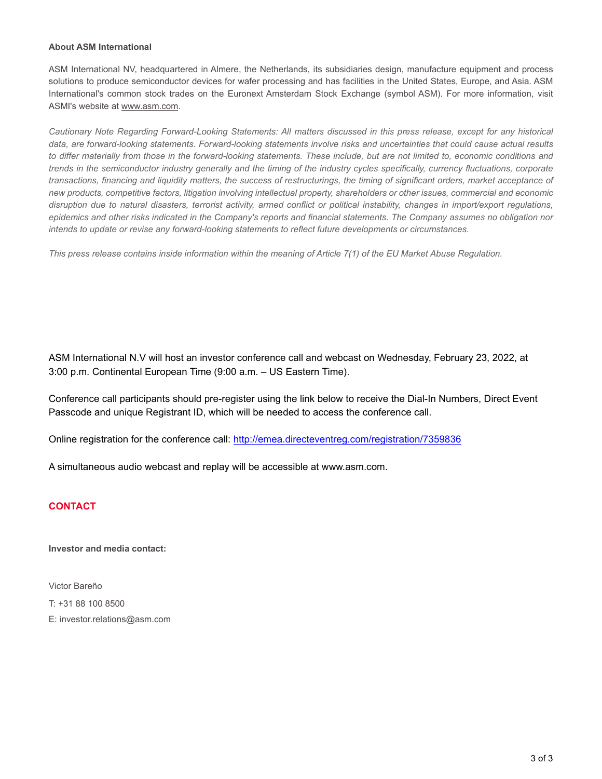#### **About ASM International**

ASM International NV, headquartered in Almere, the Netherlands, its subsidiaries design, manufacture equipment and process solutions to produce semiconductor devices for wafer processing and has facilities in the United States, Europe, and Asia. ASM International's common stock trades on the Euronext Amsterdam Stock Exchange (symbol ASM). For more information, visit ASMI's website at www.asm.com.

*Cautionary Note Regarding Forward-Looking Statements: All matters discussed in this press release, except for any historical data, are forward-looking statements. Forward-looking statements involve risks and uncertainties that could cause actual results to differ materially from those in the forward-looking statements. These include, but are not limited to, economic conditions and trends in the semiconductor industry generally and the timing of the industry cycles specifically, currency fluctuations, corporate transactions, financing and liquidity matters, the success of restructurings, the timing of significant orders, market acceptance of new products, competitive factors, litigation involving intellectual property, shareholders or other issues, commercial and economic disruption due to natural disasters, terrorist activity, armed conflict or political instability, changes in import/export regulations, epidemics and other risks indicated in the Company's reports and financial statements. The Company assumes no obligation nor intends to update or revise any forward-looking statements to reflect future developments or circumstances.*

*This press release contains inside information within the meaning of Article 7(1) of the EU Market Abuse Regulation.*

ASM International N.V will host an investor conference call and webcast on Wednesday, February 23, 2022, at 3:00 p.m. Continental European Time (9:00 a.m. – US Eastern Time).

Conference call participants should pre-register using the link below to receive the Dial-In Numbers, Direct Event Passcode and unique Registrant ID, which will be needed to access the conference call.

Online registration for the conference call:<http://emea.directeventreg.com/registration/7359836>

A simultaneous audio webcast and replay will be accessible at www.asm.com.

## **CONTACT**

**Investor and media contact:**

Victor Bareño T: +31 88 100 8500 E: investor.relations@asm.com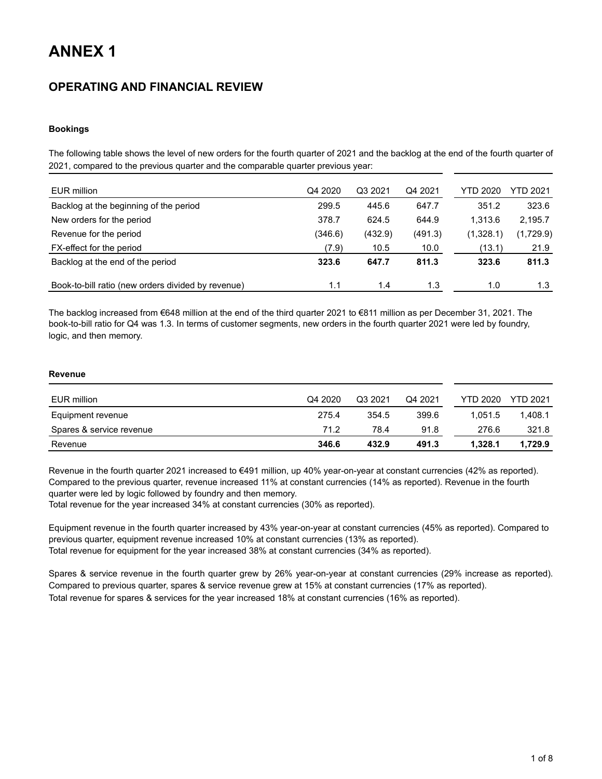## **ANNEX 1**

## **OPERATING AND FINANCIAL REVIEW**

#### **Bookings**

The following table shows the level of new orders for the fourth quarter of 2021 and the backlog at the end of the fourth quarter of 2021, compared to the previous quarter and the comparable quarter previous year:

| EUR million                                        | Q4 2020 | Q3 2021 | Q4 2021 | YTD 2020  | YTD 2021  |
|----------------------------------------------------|---------|---------|---------|-----------|-----------|
| Backlog at the beginning of the period             | 299.5   | 445.6   | 647.7   | 351.2     | 323.6     |
| New orders for the period                          | 378.7   | 624.5   | 644.9   | 1.313.6   | 2,195.7   |
| Revenue for the period                             | (346.6) | (432.9) | (491.3) | (1,328.1) | (1,729.9) |
| FX-effect for the period                           | (7.9)   | 10.5    | 10.0    | (13.1)    | 21.9      |
| Backlog at the end of the period                   | 323.6   | 647.7   | 811.3   | 323.6     | 811.3     |
| Book-to-bill ratio (new orders divided by revenue) | 1.1     | 1.4     | 1.3     | 1.0       | 1.3       |

The backlog increased from €648 million at the end of the third quarter 2021 to €811 million as per December 31, 2021. The book-to-bill ratio for Q4 was 1.3. In terms of customer segments, new orders in the fourth quarter 2021 were led by foundry, logic, and then memory.

#### **Revenue**

| EUR million              | Q4 2020 | Q3 2021 | Q4 2021 | YTD 2020 | <b>YTD 2021</b> |
|--------------------------|---------|---------|---------|----------|-----------------|
| Equipment revenue        | 275.4   | 354.5   | 399.6   | 1.051.5  | 1.408.1         |
| Spares & service revenue | 71.2    | 78.4    | 91.8    | 276.6    | 321.8           |
| Revenue                  | 346.6   | 432.9   | 491.3   | 1.328.1  | 1,729.9         |

Revenue in the fourth quarter 2021 increased to €491 million, up 40% year-on-year at constant currencies (42% as reported). Compared to the previous quarter, revenue increased 11% at constant currencies (14% as reported). Revenue in the fourth quarter were led by logic followed by foundry and then memory.

Total revenue for the year increased 34% at constant currencies (30% as reported).

Equipment revenue in the fourth quarter increased by 43% year-on-year at constant currencies (45% as reported). Compared to previous quarter, equipment revenue increased 10% at constant currencies (13% as reported). Total revenue for equipment for the year increased 38% at constant currencies (34% as reported).

Spares & service revenue in the fourth quarter grew by 26% year-on-year at constant currencies (29% increase as reported). Compared to previous quarter, spares & service revenue grew at 15% at constant currencies (17% as reported). Total revenue for spares & services for the year increased 18% at constant currencies (16% as reported).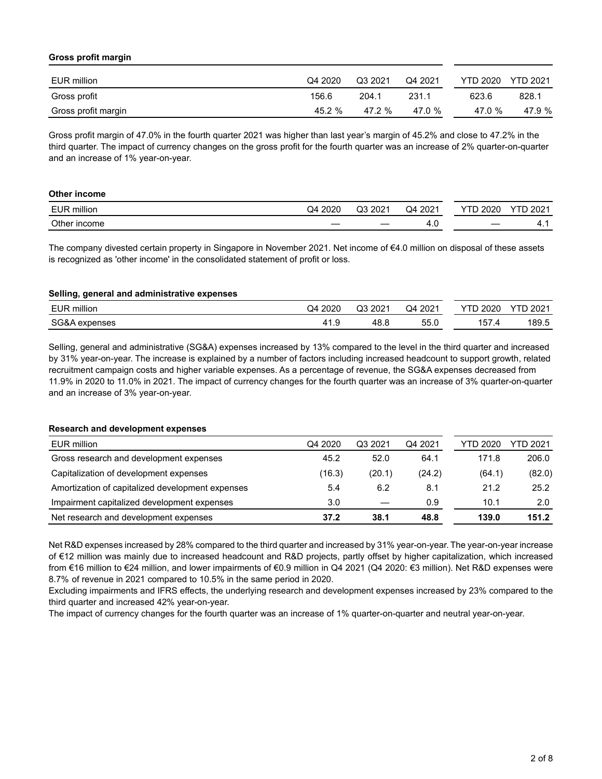#### **Gross profit margin**

| EUR million         | Q4 2020 | Q3 2021 | Q4 2021 | <b>YTD 2020</b> | <b>YTD 2021</b> |
|---------------------|---------|---------|---------|-----------------|-----------------|
| Gross profit        | 156.6   | 204.1   | 231.1   | 623.6           | 828.1           |
| Gross profit margin | 45.2 %  | 47.2 %  | 47.0 %  | 47.0 %          | 47.9 %          |

Gross profit margin of 47.0% in the fourth quarter 2021 was higher than last year's margin of 45.2% and close to 47.2% in the third quarter. The impact of currency changes on the gross profit for the fourth quarter was an increase of 2% quarter-on-quarter and an increase of 1% year-on-year.

| Other income |         |         |         |                 |                 |
|--------------|---------|---------|---------|-----------------|-----------------|
| EUR million  | Q4 2020 | Q3 2021 | Q4 2021 | <b>YTD 2020</b> | <b>YTD 2021</b> |
| Other income | __      |         | -4.u    |                 | 4               |

The company divested certain property in Singapore in November 2021. Net income of €4.0 million on disposal of these assets is recognized as 'other income' in the consolidated statement of profit or loss.

#### **Selling, general and administrative expenses**

| million<br>EUF             | റററ<br>_ ⊿ر<br>∠∪∠ | ∩≏<br>nnn,<br>ے∪∶<br>w | יממפ<br>Ω4<br>ZUZ         | ∩ר∩ר<br>-  | റ∩റ⊣<br>- UZ |
|----------------------------|--------------------|------------------------|---------------------------|------------|--------------|
| <b>CC.8</b><br>ء⇔ء<br>---- | 14<br>.            | 0 מ<br>10.U            | $ -$<br><b>LL</b><br>JJ.U | $- -$<br>ა | 189.5        |

Selling, general and administrative (SG&A) expenses increased by 13% compared to the level in the third quarter and increased by 31% year-on-year. The increase is explained by a number of factors including increased headcount to support growth, related recruitment campaign costs and higher variable expenses. As a percentage of revenue, the SG&A expenses decreased from 11.9% in 2020 to 11.0% in 2021. The impact of currency changes for the fourth quarter was an increase of 3% quarter-on-quarter and an increase of 3% year-on-year.

#### **Research and development expenses**

| EUR million                                      | Q4 2020 | Q3 2021 | Q4 2021 | YTD 2020 | YTD 2021      |
|--------------------------------------------------|---------|---------|---------|----------|---------------|
| Gross research and development expenses          | 45.2    | 52.0    | 64.1    | 171.8    | 206.0         |
| Capitalization of development expenses           | (16.3)  | (20.1)  | (24.2)  | (64.1)   | (82.0)        |
| Amortization of capitalized development expenses | 5.4     | 6.2     | 8.1     | 21.2     | 25.2          |
| Impairment capitalized development expenses      | 3.0     |         | 0.9     | 10.1     | $2.0^{\circ}$ |
| Net research and development expenses            | 37.2    | 38.1    | 48.8    | 139.0    | 151.2         |

Net R&D expenses increased by 28% compared to the third quarter and increased by 31% year-on-year. The year-on-year increase of €12 million was mainly due to increased headcount and R&D projects, partly offset by higher capitalization, which increased from €16 million to €24 million, and lower impairments of €0.9 million in Q4 2021 (Q4 2020: €3 million). Net R&D expenses were 8.7% of revenue in 2021 compared to 10.5% in the same period in 2020.

Excluding impairments and IFRS effects, the underlying research and development expenses increased by 23% compared to the third quarter and increased 42% year-on-year.

The impact of currency changes for the fourth quarter was an increase of 1% quarter-on-quarter and neutral year-on-year.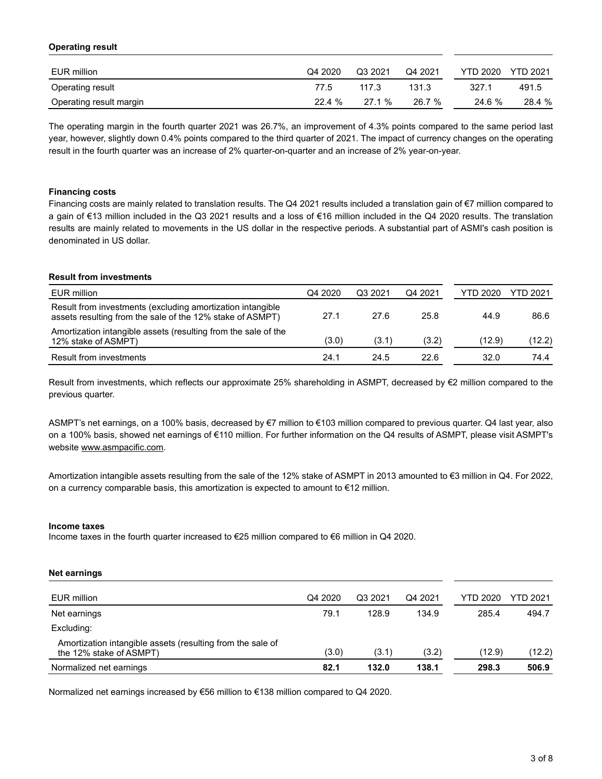#### **Operating result**

| EUR million             | Q4 2020 | Q3 2021 | Q4 2021 | YTD 2020 | <b>YTD 2021</b> |
|-------------------------|---------|---------|---------|----------|-----------------|
| Operating result        | 77.5    | 117.3   | 131.3   | 327.1    | 491.5           |
| Operating result margin | 22.4 %  | 27.1%   | 26.7 %  | 24.6 %   | 28.4 %          |

The operating margin in the fourth quarter 2021 was 26.7%, an improvement of 4.3% points compared to the same period last year, however, slightly down 0.4% points compared to the third quarter of 2021. The impact of currency changes on the operating result in the fourth quarter was an increase of 2% quarter-on-quarter and an increase of 2% year-on-year.

#### **Financing costs**

Financing costs are mainly related to translation results. The Q4 2021 results included a translation gain of €7 million compared to a gain of €13 million included in the Q3 2021 results and a loss of €16 million included in the Q4 2020 results. The translation results are mainly related to movements in the US dollar in the respective periods. A substantial part of ASMI's cash position is denominated in US dollar.

#### **Result from investments**

| EUR million                                                                                                             | Q4 2020 | Q3 2021 | Q4 2021 | YTD 2020 | <b>YTD 2021</b> |
|-------------------------------------------------------------------------------------------------------------------------|---------|---------|---------|----------|-----------------|
| Result from investments (excluding amortization intangible<br>assets resulting from the sale of the 12% stake of ASMPT) | 27.1    | 27.6    | 25.8    | 44.9     | 86.6            |
| Amortization intangible assets (resulting from the sale of the<br>12% stake of ASMPT)                                   | (3.0)   | (3.1)   | (3.2)   | (12.9)   | (12.2)          |
| Result from investments                                                                                                 | 24.1    | 24.5    | 22.6    | 32.0     | 74.4            |

Result from investments, which reflects our approximate 25% shareholding in ASMPT, decreased by €2 million compared to the previous quarter.

ASMPT's net earnings, on a 100% basis, decreased by €7 million to €103 million compared to previous quarter. Q4 last year, also on a 100% basis, showed net earnings of €110 million. For further information on the Q4 results of ASMPT, please visit ASMPT's website www.asmpacific.com.

Amortization intangible assets resulting from the sale of the 12% stake of ASMPT in 2013 amounted to €3 million in Q4. For 2022, on a currency comparable basis, this amortization is expected to amount to €12 million.

#### **Income taxes**

Income taxes in the fourth quarter increased to €25 million compared to €6 million in Q4 2020.

#### **Net earnings**

| EUR million                                                                           | Q4 2020 | Q3 2021 | Q4 2021 | <b>YTD 2020</b> | YTD 2021 |
|---------------------------------------------------------------------------------------|---------|---------|---------|-----------------|----------|
|                                                                                       |         |         |         |                 |          |
| Net earnings                                                                          | 79.1    | 128.9   | 134.9   | 285.4           | 494.7    |
| Excluding:                                                                            |         |         |         |                 |          |
| Amortization intangible assets (resulting from the sale of<br>the 12% stake of ASMPT) | (3.0)   | (3.1)   | (3.2)   | (12.9)          | (12.2)   |
| Normalized net earnings                                                               | 82.1    | 132.0   | 138.1   | 298.3           | 506.9    |

Normalized net earnings increased by €56 million to €138 million compared to Q4 2020.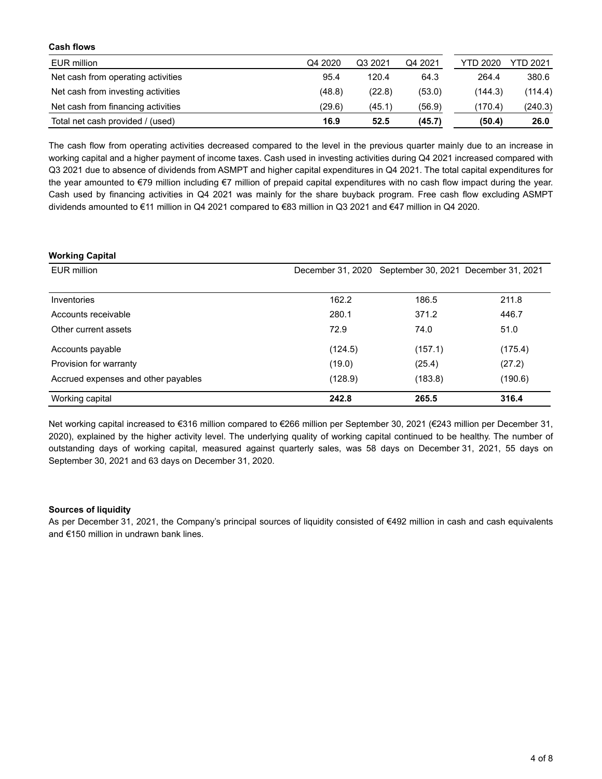| VUJII IIVIIJ                       |         |         |         |          |          |
|------------------------------------|---------|---------|---------|----------|----------|
| EUR million                        | Q4 2020 | Q3 2021 | Q4 2021 | YTD 2020 | YTD 2021 |
| Net cash from operating activities | 95.4    | 120.4   | 64.3    | 264.4    | 380.6    |
| Net cash from investing activities | (48.8)  | (22.8)  | (53.0)  | (144.3)  | (114.4)  |
| Net cash from financing activities | (29.6)  | (45.1)  | (56.9)  | (170.4)  | (240.3)  |
| Total net cash provided / (used)   | 16.9    | 52.5    | (45.7)  | (50.4)   | 26.0     |

The cash flow from operating activities decreased compared to the level in the previous quarter mainly due to an increase in working capital and a higher payment of income taxes. Cash used in investing activities during Q4 2021 increased compared with Q3 2021 due to absence of dividends from ASMPT and higher capital expenditures in Q4 2021. The total capital expenditures for the year amounted to €79 million including €7 million of prepaid capital expenditures with no cash flow impact during the year. Cash used by financing activities in Q4 2021 was mainly for the share buyback program. Free cash flow excluding ASMPT dividends amounted to €11 million in Q4 2021 compared to €83 million in Q3 2021 and €47 million in Q4 2020.

#### **Working Capital**

**Cash flows**

| EUR million                         |         | December 31, 2020 September 30, 2021 December 31, 2021 |         |
|-------------------------------------|---------|--------------------------------------------------------|---------|
|                                     |         |                                                        |         |
| Inventories                         | 162.2   | 186.5                                                  | 211.8   |
| Accounts receivable                 | 280.1   | 371.2                                                  | 446.7   |
| Other current assets                | 72.9    | 74.0                                                   | 51.0    |
| Accounts payable                    | (124.5) | (157.1)                                                | (175.4) |
| Provision for warranty              | (19.0)  | (25.4)                                                 | (27.2)  |
| Accrued expenses and other payables | (128.9) | (183.8)                                                | (190.6) |
| Working capital                     | 242.8   | 265.5                                                  | 316.4   |

Net working capital increased to €316 million compared to €266 million per September 30, 2021 (€243 million per December 31, 2020), explained by the higher activity level. The underlying quality of working capital continued to be healthy. The number of outstanding days of working capital, measured against quarterly sales, was 58 days on December 31, 2021, 55 days on September 30, 2021 and 63 days on December 31, 2020.

#### **Sources of liquidity**

As per December 31, 2021, the Company's principal sources of liquidity consisted of €492 million in cash and cash equivalents and €150 million in undrawn bank lines.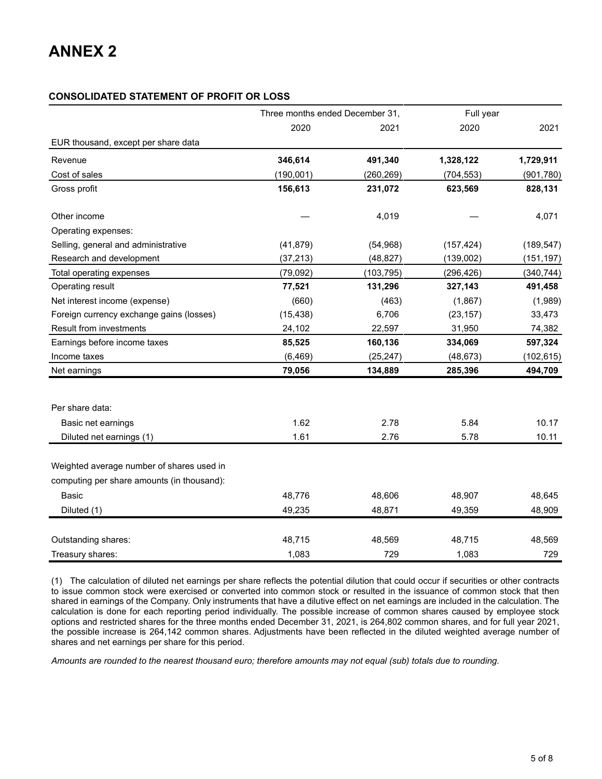## **CONSOLIDATED STATEMENT OF PROFIT OR LOSS**

|                                            | Three months ended December 31, |            | Full year  |            |
|--------------------------------------------|---------------------------------|------------|------------|------------|
|                                            | 2020                            | 2021       | 2020       | 2021       |
| EUR thousand, except per share data        |                                 |            |            |            |
| Revenue                                    | 346,614                         | 491,340    | 1,328,122  | 1,729,911  |
| Cost of sales                              | (190, 001)                      | (260, 269) | (704, 553) | (901, 780) |
| Gross profit                               | 156,613                         | 231,072    | 623,569    | 828,131    |
| Other income                               |                                 | 4,019      |            | 4,071      |
| Operating expenses:                        |                                 |            |            |            |
| Selling, general and administrative        | (41, 879)                       | (54, 968)  | (157, 424) | (189, 547) |
| Research and development                   | (37, 213)                       | (48, 827)  | (139,002)  | (151, 197) |
| Total operating expenses                   | (79, 092)                       | (103, 795) | (296, 426) | (340, 744) |
| Operating result                           | 77,521                          | 131,296    | 327,143    | 491,458    |
| Net interest income (expense)              | (660)                           | (463)      | (1,867)    | (1,989)    |
| Foreign currency exchange gains (losses)   | (15, 438)                       | 6,706      | (23, 157)  | 33,473     |
| Result from investments                    | 24,102                          | 22,597     | 31,950     | 74,382     |
| Earnings before income taxes               | 85,525                          | 160,136    | 334,069    | 597,324    |
| Income taxes                               | (6, 469)                        | (25, 247)  | (48, 673)  | (102, 615) |
| Net earnings                               | 79,056                          | 134,889    | 285,396    | 494,709    |
| Per share data:                            |                                 |            |            |            |
| Basic net earnings                         | 1.62                            | 2.78       | 5.84       | 10.17      |
| Diluted net earnings (1)                   | 1.61                            | 2.76       | 5.78       | 10.11      |
| Weighted average number of shares used in  |                                 |            |            |            |
| computing per share amounts (in thousand): |                                 |            |            |            |
| <b>Basic</b>                               | 48,776                          | 48,606     | 48,907     | 48,645     |
| Diluted (1)                                | 49,235                          | 48,871     | 49,359     | 48,909     |
| Outstanding shares:                        | 48,715                          | 48,569     | 48,715     | 48,569     |
| Treasury shares:                           | 1,083                           | 729        | 1,083      | 729        |

(1) The calculation of diluted net earnings per share reflects the potential dilution that could occur if securities or other contracts to issue common stock were exercised or converted into common stock or resulted in the issuance of common stock that then shared in earnings of the Company. Only instruments that have a dilutive effect on net earnings are included in the calculation. The calculation is done for each reporting period individually. The possible increase of common shares caused by employee stock options and restricted shares for the three months ended December 31, 2021, is 264,802 common shares, and for full year 2021, the possible increase is 264,142 common shares. Adjustments have been reflected in the diluted weighted average number of shares and net earnings per share for this period.

*Amounts are rounded to the nearest thousand euro; therefore amounts may not equal (sub) totals due to rounding.*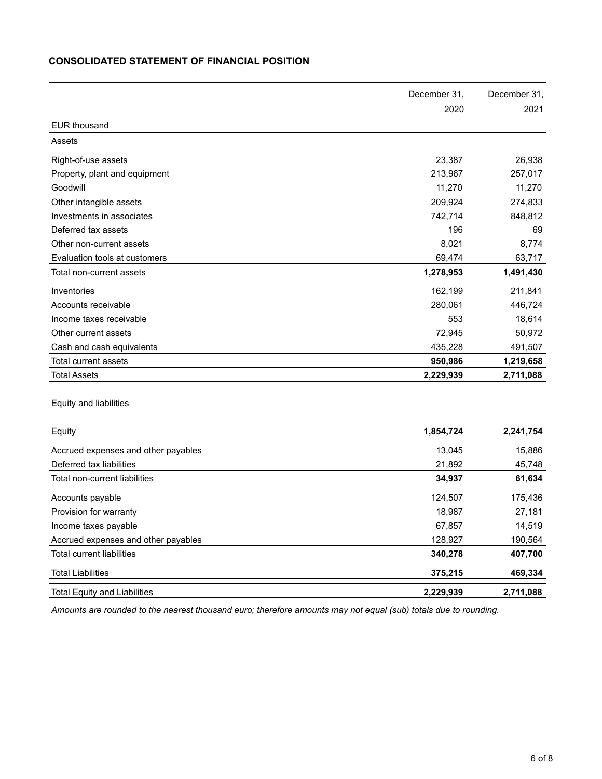## **CONSOLIDATED STATEMENT OF FINANCIAL POSITION**

|                                     | December 31, | December 31, |
|-------------------------------------|--------------|--------------|
|                                     | 2020         | 2021         |
| <b>EUR thousand</b>                 |              |              |
| Assets                              |              |              |
| Right-of-use assets                 | 23,387       | 26,938       |
| Property, plant and equipment       | 213,967      | 257,017      |
| Goodwill                            | 11,270       | 11,270       |
| Other intangible assets             | 209,924      | 274,833      |
| Investments in associates           | 742,714      | 848,812      |
| Deferred tax assets                 | 196          | 69           |
| Other non-current assets            | 8,021        | 8,774        |
| Evaluation tools at customers       | 69,474       | 63,717       |
| Total non-current assets            | 1,278,953    | 1,491,430    |
| Inventories                         | 162,199      | 211,841      |
| Accounts receivable                 | 280,061      | 446,724      |
| Income taxes receivable             | 553          | 18,614       |
| Other current assets                | 72,945       | 50,972       |
| Cash and cash equivalents           | 435,228      | 491,507      |
| Total current assets                | 950,986      | 1,219,658    |
| <b>Total Assets</b>                 | 2,229,939    | 2,711,088    |
|                                     |              |              |
| Equity and liabilities              |              |              |
| Equity                              | 1,854,724    | 2,241,754    |
|                                     |              |              |
| Accrued expenses and other payables | 13,045       | 15,886       |
| Deferred tax liabilities            | 21,892       | 45,748       |
| Total non-current liabilities       | 34,937       | 61,634       |
| Accounts payable                    | 124,507      | 175,436      |
| Provision for warranty              | 18,987       | 27,181       |
| Income taxes payable                | 67,857       | 14,519       |
| Accrued expenses and other payables | 128,927      | 190,564      |
| <b>Total current liabilities</b>    | 340,278      | 407,700      |
| <b>Total Liabilities</b>            | 375,215      | 469,334      |
| <b>Total Equity and Liabilities</b> | 2,229,939    | 2,711,088    |

*Amounts are rounded to the nearest thousand euro; therefore amounts may not equal (sub) totals due to rounding.*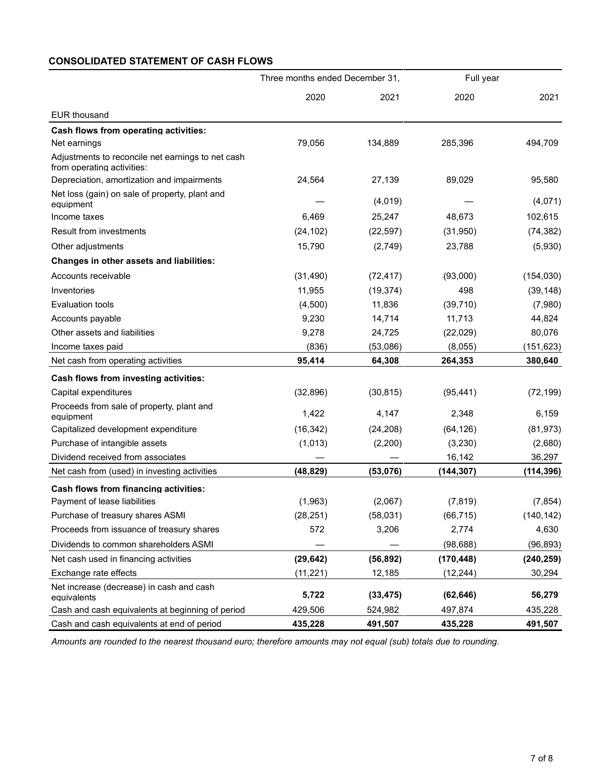## **CONSOLIDATED STATEMENT OF CASH FLOWS**

|                                                                                 | Three months ended December 31, |           | Full year  |            |
|---------------------------------------------------------------------------------|---------------------------------|-----------|------------|------------|
|                                                                                 | 2020                            | 2021      | 2020       | 2021       |
| <b>EUR thousand</b>                                                             |                                 |           |            |            |
| <b>Cash flows from operating activities:</b>                                    |                                 |           |            |            |
| Net earnings                                                                    | 79,056                          | 134,889   | 285,396    | 494,709    |
| Adjustments to reconcile net earnings to net cash<br>from operating activities: |                                 |           |            |            |
| Depreciation, amortization and impairments                                      | 24,564                          | 27,139    | 89,029     | 95,580     |
| Net loss (gain) on sale of property, plant and<br>equipment                     |                                 | (4,019)   |            | (4,071)    |
| Income taxes                                                                    | 6,469                           | 25,247    | 48,673     | 102,615    |
| <b>Result from investments</b>                                                  | (24, 102)                       | (22, 597) | (31, 950)  | (74, 382)  |
| Other adjustments                                                               | 15,790                          | (2,749)   | 23,788     | (5,930)    |
| Changes in other assets and liabilities:                                        |                                 |           |            |            |
| Accounts receivable                                                             | (31, 490)                       | (72, 417) | (93,000)   | (154, 030) |
| Inventories                                                                     | 11,955                          | (19, 374) | 498        | (39, 148)  |
| <b>Evaluation tools</b>                                                         | (4,500)                         | 11,836    | (39, 710)  | (7,980)    |
| Accounts payable                                                                | 9,230                           | 14,714    | 11,713     | 44,824     |
| Other assets and liabilities                                                    | 9,278                           | 24,725    | (22, 029)  | 80,076     |
| Income taxes paid                                                               | (836)                           | (53,086)  | (8,055)    | (151, 623) |
| Net cash from operating activities                                              | 95,414                          | 64,308    | 264,353    | 380,640    |
| Cash flows from investing activities:                                           |                                 |           |            |            |
| Capital expenditures                                                            | (32, 896)                       | (30, 815) | (95, 441)  | (72, 199)  |
| Proceeds from sale of property, plant and<br>equipment                          | 1,422                           | 4,147     | 2,348      | 6,159      |
| Capitalized development expenditure                                             | (16, 342)                       | (24, 208) | (64, 126)  | (81, 973)  |
| Purchase of intangible assets                                                   | (1,013)                         | (2,200)   | (3,230)    | (2,680)    |
| Dividend received from associates                                               |                                 |           | 16,142     | 36,297     |
| Net cash from (used) in investing activities                                    | (48, 829)                       | (53,076)  | (144, 307) | (114, 396) |
| Cash flows from financing activities:                                           |                                 |           |            |            |
| Payment of lease liabilities                                                    | (1,963)                         | (2,067)   | (7, 819)   | (7, 854)   |
| Purchase of treasury shares ASMI                                                | (28, 251)                       | (58,031)  | (66, 715)  | (140, 142) |
| Proceeds from issuance of treasury shares                                       | 572                             | 3,206     | 2,774      | 4,630      |
| Dividends to common shareholders ASMI                                           |                                 |           | (98, 688)  | (96, 893)  |
| Net cash used in financing activities                                           | (29, 642)                       | (56, 892) | (170, 448) | (240, 259) |
| Exchange rate effects                                                           | (11, 221)                       | 12,185    | (12, 244)  | 30,294     |
| Net increase (decrease) in cash and cash<br>equivalents                         | 5,722                           | (33, 475) | (62, 646)  | 56,279     |
| Cash and cash equivalents at beginning of period                                | 429,506                         | 524,982   | 497,874    | 435,228    |
| Cash and cash equivalents at end of period                                      | 435,228                         | 491,507   | 435,228    | 491,507    |

*Amounts are rounded to the nearest thousand euro; therefore amounts may not equal (sub) totals due to rounding.*